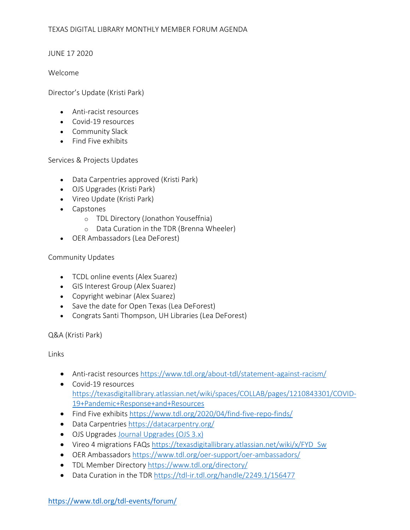JUNE 17 2020

### Welcome

Director's Update (Kristi Park)

- Anti-racist resources
- Covid-19 resources
- Community Slack
- Find Five exhibits

Services & Projects Updates

- Data Carpentries approved (Kristi Park)
- OJS Upgrades (Kristi Park)
- Vireo Update (Kristi Park)
- Capstones
	- o TDL Directory (Jonathon Youseffnia)
	- o Data Curation in the TDR (Brenna Wheeler)
- OER Ambassadors (Lea DeForest)

# Community Updates

- TCDL online events (Alex Suarez)
- GIS Interest Group (Alex Suarez)
- Copyright webinar (Alex Suarez)
- Save the date for Open Texas (Lea DeForest)
- Congrats Santi Thompson, UH Libraries (Lea DeForest)

Q&A (Kristi Park)

# Links

- Anti-racist resources https://www.tdl.org/about-tdl/statement-against-racism/
- Covid-19 resources https://texasdigitallibrary.atlassian.net/wiki/spaces/COLLAB/pages/1210843301/COVID-19+Pandemic+Response+and+Resources
- Find Five exhibits https://www.tdl.org/2020/04/find-five-repo-finds/
- Data Carpentries https://datacarpentry.org/
- OJS Upgrades Journal Upgrades (OJS 3.x)
- Vireo 4 migrations FAQs https://texasdigitallibrary.atlassian.net/wiki/x/FYD\_Sw
- OER Ambassadors https://www.tdl.org/oer-support/oer-ambassadors/
- TDL Member Directory https://www.tdl.org/directory/
- Data Curation in the TDR https://tdl-ir.tdl.org/handle/2249.1/156477